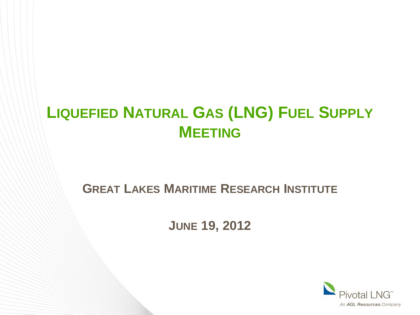# **LIQUEFIED NATURAL GAS (LNG) FUEL SUPPLY MEETING**

#### **GREAT LAKES MARITIME RESEARCH INSTITUTE**

**JUNE 19, 2012**

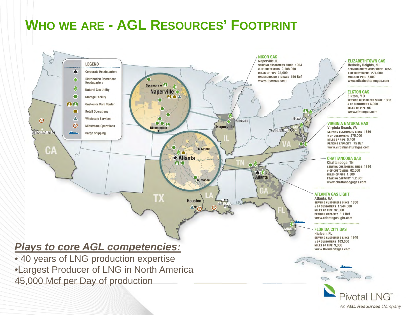### **WHO WE ARE - AGL RESOURCES' FOOTPRINT**



Pivotal II

An AGL Resources Company

#### *Plays to core AGL competencies:*

• 40 years of LNG production expertise •Largest Producer of LNG in North America 45,000 Mcf per Day of production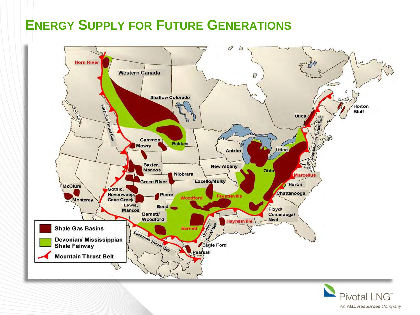### **ENERGY SUPPLY FOR FUTURE GENERATIONS**



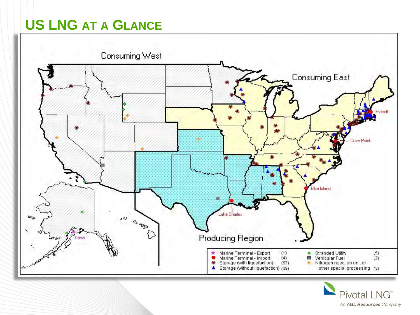## **US LNG AT A GLANCE**



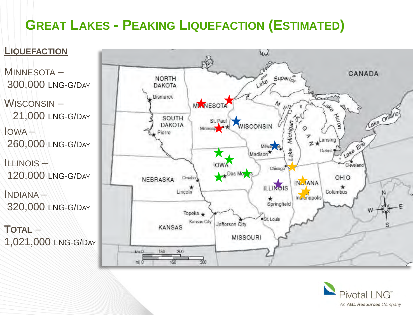# **GREAT LAKES - PEAKING LIQUEFACTION (ESTIMATED)**



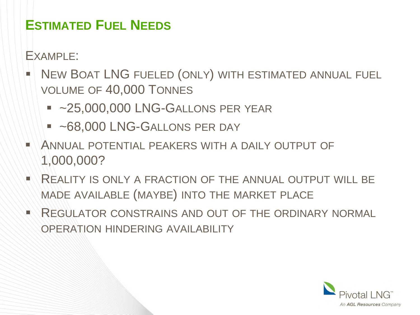### **ESTIMATED FUEL NEEDS**

EXAMPLE:

- NEW BOAT LNG FUELED (ONLY) WITH ESTIMATED ANNUAL FUEL VOLUME OF 40,000 TONNES
	- ~25,000,000 LNG-GALLONS PER YEAR
	- **~68,000 LNG-GALLONS PER DAY**
- ANNUAL POTENTIAL PEAKERS WITH A DAILY OUTPUT OF 1,000,000?
- REALITY IS ONLY A FRACTION OF THE ANNUAL OUTPUT WILL BE MADE AVAILABLE (MAYBE) INTO THE MARKET PLACE
- REGULATOR CONSTRAINS AND OUT OF THE ORDINARY NORMAL OPERATION HINDERING AVAILABILITY

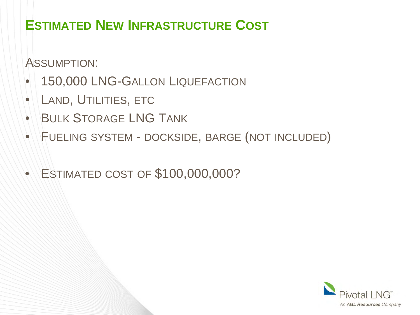### **ESTIMATED NEW INFRASTRUCTURE COST**

ASSUMPTION:

- 150,000 LNG-GALLON LIQUEFACTION
- LAND, UTILITIES, ETC
- BULK STORAGE LNG TANK
- FUELING SYSTEM DOCKSIDE, BARGE (NOT INCLUDED)
- ESTIMATED COST OF \$100,000,000?